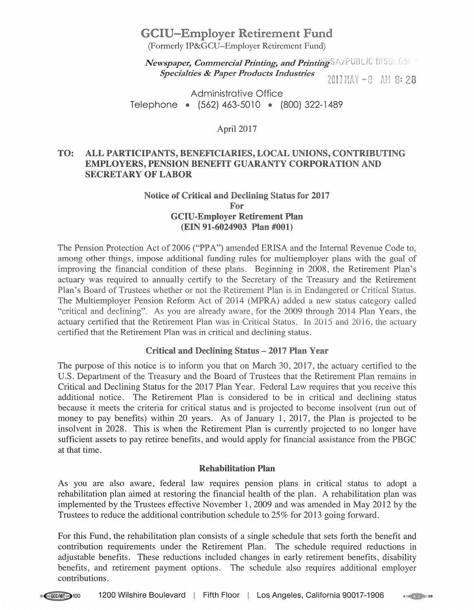# GCIU-Employer Retirement Fund

(Formerly IP&GCU-Employer Retirement Fund)

*Newspaper, Commercial Printing, and Printing* SA/PUBLIC DISCEDSUP *Specialties* & *Paper Products Industries* 

2017 MAY -8 AM 8:28

 $\sqrt{28}$ 

Administrative Office Telephone · (562) 463-5010 · (800) 322-1489

April 2017

# TO: ALL PARTICIPANTS, BENEFICIARIES, LOCAL UNIONS, CONTRIBUTING EMPLOYERS, PENSION BENEFIT GUARANTY CORPORATION AND SECRETARY OF LABOR

## Notice of Critical and Declining Status for 2017 For GCIU-Employer Retirement Pian (EIN 91-6024903 Plan #001)

The Pension Protection Act of 2006 ("PPA") amended ERISA and the Internal Revenue Code to, among other things, impose additional funding rules for multiemployer plans with the goal of improving the financial condition of these plans. Beginning in 2008, the Retirement Plan's actuary was required to annually certify to the Secretary of the Treasury and the Retirement Plan's Board of Trustees whether or not the Retirement Plan is in Endangered or Critical Status. The Multiemployer Pension Reform Act of 2014 (MPRA) added a new status category called "critical and declining". As you are already aware, for the 2009 through 2014 Plan Years, the actuary certified that the Retirement Plan was in Critical Status. In 2015 and 2016, the actuary certified that the Retirement Plan was in critical and declining status.

## Critical and Declining Status - 2017 Plan Year

The purpose of this notice is to inform you that on March 30, 2017, the actuary certified to the U.S. Department of the Treasury and the Board of Trustees that the Retirement Plan remains in Critical and Declining Status for the 2017 Plan Year. Federal Law requires that you receive this additional notice. The Retirement Plan is considered to be in critical and declining status because it meets the criteria for critical status and is projected to become insolvent (run out of money to pay benefits) within 20 years. As of January 1, 2017, the Plan is projected to be insolvent in 2028. This is when the Retirement Plan is currently projected to no longer have sufficient assets to pay retiree benefits, and would apply for financial assistance from the PBGC at that time.

#### Rehabilitation Plan

As you are also aware, federal law requires pension plans in critical status to adopt a rehabilitation plan aimed at restoring the financial health of the plan. A rehabilitation plan was implemented by the Trustees effective November 1, 2009 and was amended in May 2012 by the Trustees to reduce the additional contribution schedule to 25% for 2013 going forward.

For this Fund, the rehabilitation plan consists of a single schedule that sets forth the benefit and contribution requirements under the Retirement Plan. The schedule required reductions in adjustable benefits. These reductions included changes in early retirement benefits, disability benefits, and retirement payment options. The schedule also requires additional employer contributions.